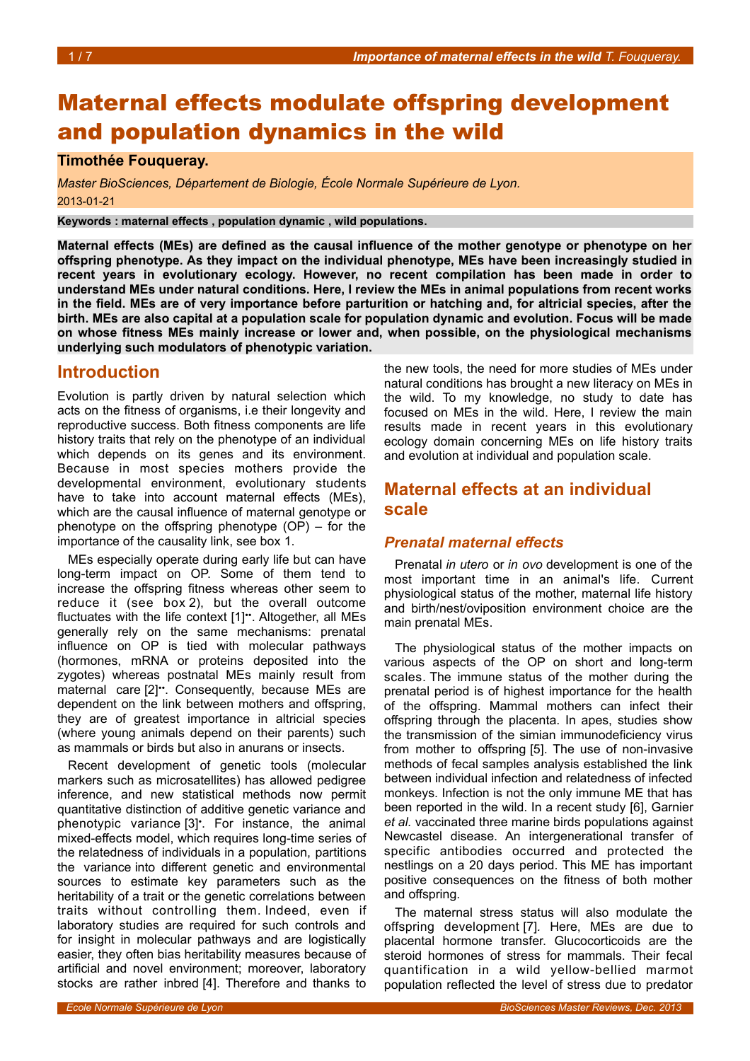# Maternal effects modulate offspring development and population dynamics in the wild

### **Timothée Fouqueray.**

*Master BioSciences, Département de Biologie, École Normale Supérieure de Lyon.* 2013-01-21

**Keywords : maternal effects , population dynamic , wild populations.**

**Maternal effects (MEs) are defined as the causal influence of the mother genotype or phenotype on her offspring phenotype. As they impact on the individual phenotype, MEs have been increasingly studied in recent years in evolutionary ecology. However, no recent compilation has been made in order to understand MEs under natural conditions. Here, I review the MEs in animal populations from recent works in the field. MEs are of very importance before parturition or hatching and, for altricial species, after the birth. MEs are also capital at a population scale for population dynamic and evolution. Focus will be made on whose fitness MEs mainly increase or lower and, when possible, on the physiological mechanisms underlying such modulators of phenotypic variation.**

## **Introduction**

Evolution is partly driven by natural selection which acts on the fitness of organisms, i.e their longevity and reproductive success. Both fitness components are life history traits that rely on the phenotype of an individual which depends on its genes and its environment. Because in most species mothers provide the developmental environment, evolutionary students have to take into account maternal effects (MEs), which are the causal influence of maternal genotype or phenotype on the offspring phenotype (OP) – for the importance of the causality link, see box [1.](#page-1-0)

MEs especially operate during early life but can have long-term impact on OP. Some of them tend to increase the offspring fitness whereas other seem to reduce it (see box [2\)](#page-2-0), but the overall outcome fluctuates with the life context [1]<sup>\*\*</sup>. Altogether, all MEs generally rely on the same mechanisms: prenatal influence on OP is tied with molecular pathways (hormones, mRNA or proteins deposited into the zygotes) whereas postnatal MEs mainly result from maternal care [2]<sup>\*\*</sup>. Consequently, because MEs are dependent on the link between mothers and offspring, they are of greatest importance in altricial species (where young animals depend on their parents) such as mammals or birds but also in anurans or insects.

Recent development of genetic tools (molecular markers such as microsatellites) has allowed pedigree inference, and new statistical methods now permit quantitative distinction of additive genetic variance and phenotypic variance [3]• . For instance, the animal mixed-effects model, which requires long-time series of the relatedness of individuals in a population, partitions the variance into different genetic and environmental sources to estimate key parameters such as the heritability of a trait or the genetic correlations between traits without controlling them. Indeed, even if laboratory studies are required for such controls and for insight in molecular pathways and are logistically easier, they often bias heritability measures because of artificial and novel environment; moreover, laboratory stocks are rather inbred [4]. Therefore and thanks to

the new tools, the need for more studies of MEs under natural conditions has brought a new literacy on MEs in the wild. To my knowledge, no study to date has focused on MEs in the wild. Here, I review the main results made in recent years in this evolutionary ecology domain concerning MEs on life history traits and evolution at individual and population scale.

# **Maternal effects at an individual scale**

### *Prenatal maternal effects*

Prenatal *in utero* or *in ovo* development is one of the most important time in an animal's life. Current physiological status of the mother, maternal life history and birth/nest/oviposition environment choice are the main prenatal MEs.

The physiological status of the mother impacts on various aspects of the OP on short and long-term scales. The immune status of the mother during the prenatal period is of highest importance for the health of the offspring. Mammal mothers can infect their offspring through the placenta. In apes, studies show the transmission of the simian immunodeficiency virus from mother to offspring [5]. The use of non-invasive methods of fecal samples analysis established the link between individual infection and relatedness of infected monkeys. Infection is not the only immune ME that has been reported in the wild. In a recent study [6], Garnier *et al.* vaccinated three marine birds populations against Newcastel disease. An intergenerational transfer of specific antibodies occurred and protected the nestlings on a 20 days period. This ME has important positive consequences on the fitness of both mother and offspring.

The maternal stress status will also modulate the offspring development [7]*.* Here, MEs are due to placental hormone transfer. Glucocorticoids are the steroid hormones of stress for mammals. Their fecal quantification in a wild yellow-bellied marmot population reflected the level of stress due to predator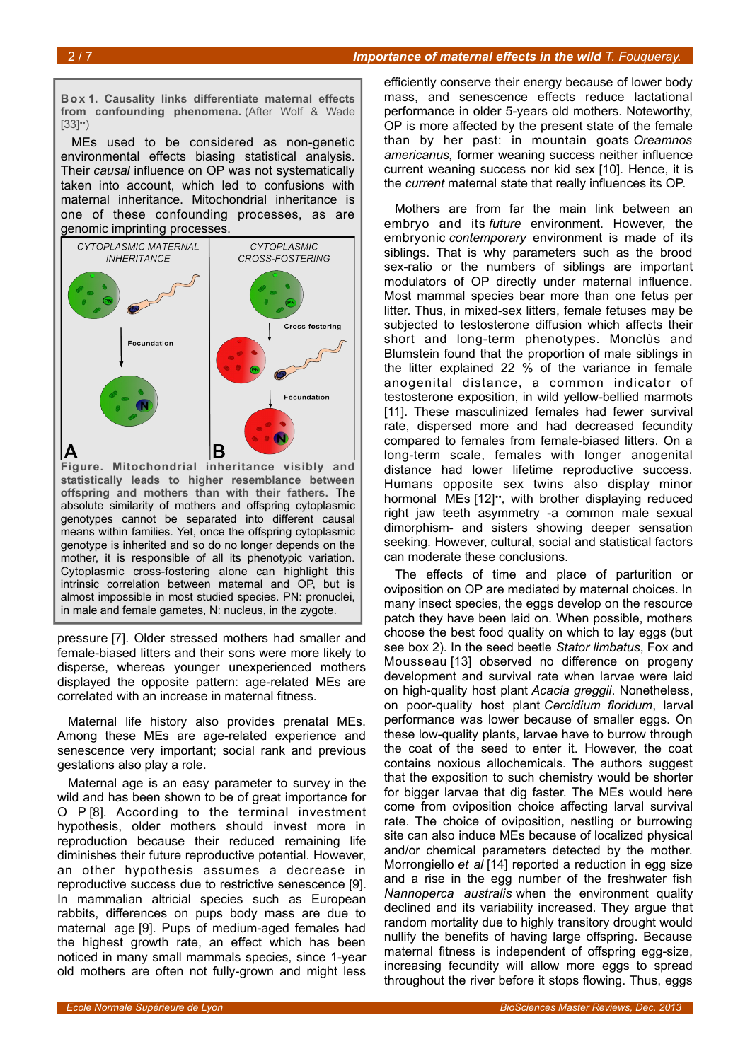#### 2 / 7 *Importance of maternal effects in the wild T. Fouqueray.*

<span id="page-1-0"></span>**Bo x 1. Causality links differentiate maternal effects** from confounding phenomena. (After Wolf & Wade  $[33]$ <sup>\*</sup>)

MEs used to be considered as non-genetic environmental effects biasing statistical analysis. Their *causal* influence on OP was not systematically taken into account, which led to confusions with maternal inheritance. Mitochondrial inheritance is one of these confounding processes, as are genomic imprinting processes.



**statistically leads to higher resemblance between offspring and mothers than with their fathers.** The absolute similarity of mothers and offspring cytoplasmic genotypes cannot be separated into different causal means within families. Yet, once the offspring cytoplasmic genotype is inherited and so do no longer depends on the mother, it is responsible of all its phenotypic variation. Cytoplasmic cross-fostering alone can highlight this intrinsic correlation between maternal and OP, but is almost impossible in most studied species. PN: pronuclei, in male and female gametes, N: nucleus, in the zygote.

pressure [7]. Older stressed mothers had smaller and female-biased litters and their sons were more likely to disperse, whereas younger unexperienced mothers displayed the opposite pattern: age-related MEs are correlated with an increase in maternal fitness.

Maternal life history also provides prenatal MEs. Among these MEs are age-related experience and senescence very important; social rank and previous gestations also play a role.

Maternal age is an easy parameter to survey in the wild and has been shown to be of great importance for O P [8]*.* According to the terminal investment hypothesis, older mothers should invest more in reproduction because their reduced remaining life diminishes their future reproductive potential. However, an other hypothesis assumes a decrease in reproductive success due to restrictive senescence [9]. In mammalian altricial species such as European rabbits, differences on pups body mass are due to maternal age [9]. Pups of medium-aged females had the highest growth rate, an effect which has been noticed in many small mammals species, since 1-year old mothers are often not fully-grown and might less

efficiently conserve their energy because of lower body mass, and senescence effects reduce lactational performance in older 5-years old mothers. Noteworthy, OP is more affected by the present state of the female than by her past: in mountain goats *Oreamnos americanus,* former weaning success neither influence current weaning success nor kid sex [10]*.* Hence, it is the *current* maternal state that really influences its OP.

Mothers are from far the main link between an embryo and its *future* environment. However, the embryonic *contemporary* environment is made of its siblings. That is why parameters such as the brood sex-ratio or the numbers of siblings are important modulators of OP directly under maternal influence. Most mammal species bear more than one fetus per litter. Thus, in mixed-sex litters, female fetuses may be subjected to testosterone diffusion which affects their short and long-term phenotypes. Monclùs and Blumstein found that the proportion of male siblings in the litter explained 22 % of the variance in female anogenital distance, a common indicator of testosterone exposition, in wild yellow-bellied marmots [11]. These masculinized females had fewer survival rate, dispersed more and had decreased fecundity compared to females from female-biased litters. On a long-term scale, females with longer anogenital distance had lower lifetime reproductive success. Humans opposite sex twins also display minor hormonal MEs [12]•• *,* with brother displaying reduced right jaw teeth asymmetry -a common male sexual dimorphism- and sisters showing deeper sensation seeking. However, cultural, social and statistical factors can moderate these conclusions.

The effects of time and place of parturition or oviposition on OP are mediated by maternal choices. In many insect species, the eggs develop on the resource patch they have been laid on. When possible, mothers choose the best food quality on which to lay eggs (but see box [2\)](#page-2-0). In the seed beetle *Stator limbatus*, Fox and Mousseau [13] observed no difference on progeny development and survival rate when larvae were laid on high-quality host plant *Acacia greggii*. Nonetheless, on poor-quality host plant *Cercidium floridum*, larval performance was lower because of smaller eggs. On these low-quality plants, larvae have to burrow through the coat of the seed to enter it. However, the coat contains noxious allochemicals. The authors suggest that the exposition to such chemistry would be shorter for bigger larvae that dig faster. The MEs would here come from oviposition choice affecting larval survival rate. The choice of oviposition, nestling or burrowing site can also induce MEs because of localized physical and/or chemical parameters detected by the mother. Morrongiello *et al* [14] reported a reduction in egg size and a rise in the egg number of the freshwater fish *Nannoperca australis* when the environment quality declined and its variability increased. They argue that random mortality due to highly transitory drought would nullify the benefits of having large offspring. Because maternal fitness is independent of offspring egg-size, increasing fecundity will allow more eggs to spread throughout the river before it stops flowing. Thus, eggs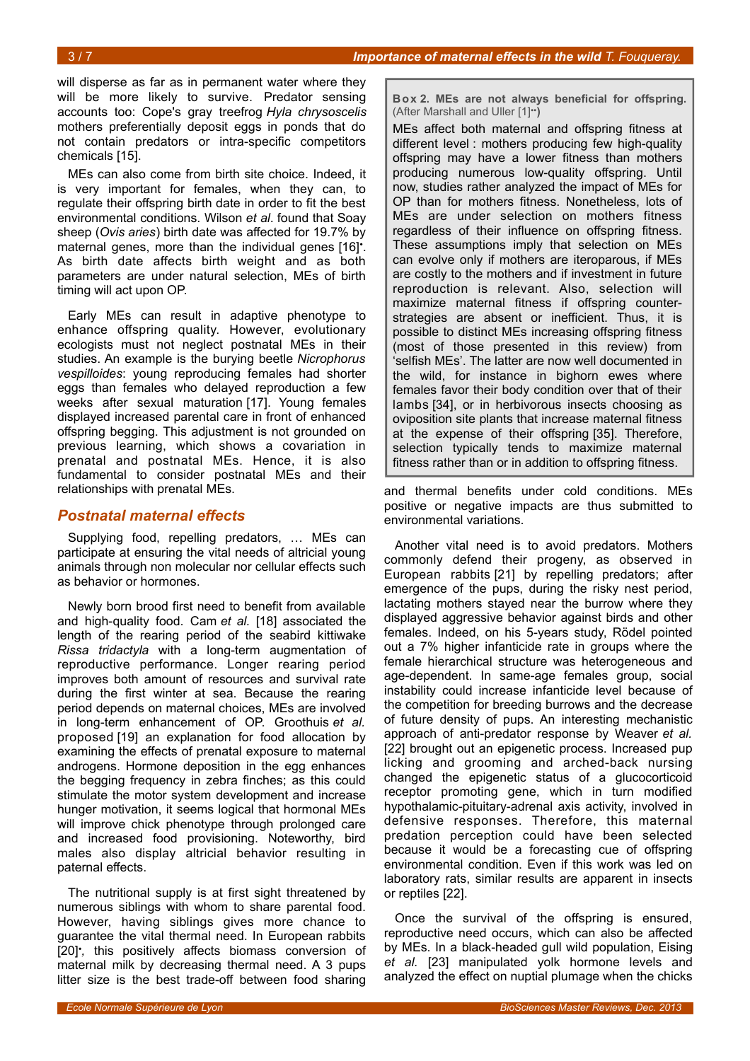will disperse as far as in permanent water where they will be more likely to survive. Predator sensing accounts too: Cope's gray treefrog *Hyla chrysoscelis* mothers preferentially deposit eggs in ponds that do not contain predators or intra-specific competitors chemicals [15].

MEs can also come from birth site choice. Indeed, it is very important for females, when they can, to regulate their offspring birth date in order to fit the best environmental conditions. Wilson *et al*. found that Soay sheep (*Ovis aries*) birth date was affected for 19.7% by maternal genes, more than the individual genes [16]. As birth date affects birth weight and as both parameters are under natural selection, MEs of birth timing will act upon OP.

Early MEs can result in adaptive phenotype to enhance offspring quality. However, evolutionary ecologists must not neglect postnatal MEs in their studies. An example is the burying beetle *Nicrophorus vespilloides*: young reproducing females had shorter eggs than females who delayed reproduction a few weeks after sexual maturation [17]. Young females displayed increased parental care in front of enhanced offspring begging. This adjustment is not grounded on previous learning, which shows a covariation in prenatal and postnatal MEs. Hence, it is also fundamental to consider postnatal MEs and their relationships with prenatal MEs.

#### *Postnatal maternal effects*

Supplying food, repelling predators, … MEs can participate at ensuring the vital needs of altricial young animals through non molecular nor cellular effects such as behavior or hormones.

Newly born brood first need to benefit from available and high-quality food. Cam *et al.* [18] associated the length of the rearing period of the seabird kittiwake *Rissa tridactyla* with a long-term augmentation of reproductive performance. Longer rearing period improves both amount of resources and survival rate during the first winter at sea. Because the rearing period depends on maternal choices, MEs are involved in long-term enhancement of OP. Groothuis *et al.* proposed [19] an explanation for food allocation by examining the effects of prenatal exposure to maternal androgens. Hormone deposition in the egg enhances the begging frequency in zebra finches; as this could stimulate the motor system development and increase hunger motivation, it seems logical that hormonal MEs will improve chick phenotype through prolonged care and increased food provisioning. Noteworthy, bird males also display altricial behavior resulting in paternal effects.

The nutritional supply is at first sight threatened by numerous siblings with whom to share parental food. However, having siblings gives more chance to guarantee the vital thermal need. In European rabbits [20]• *,* this positively affects biomass conversion of maternal milk by decreasing thermal need. A 3 pups litter size is the best trade-off between food sharing <span id="page-2-0"></span>**Box 2. MEs are not always beneficial for offspring.** (After Marshall and Uller [1]••**)**

MEs affect both maternal and offspring fitness at different level : mothers producing few high-quality offspring may have a lower fitness than mothers producing numerous low-quality offspring. Until now, studies rather analyzed the impact of MEs for OP than for mothers fitness. Nonetheless, lots of MEs are under selection on mothers fitness regardless of their influence on offspring fitness. These assumptions imply that selection on MEs can evolve only if mothers are iteroparous, if MEs are costly to the mothers and if investment in future reproduction is relevant. Also, selection will maximize maternal fitness if offspring counterstrategies are absent or inefficient. Thus, it is possible to distinct MEs increasing offspring fitness (most of those presented in this review) from 'selfish MEs'. The latter are now well documented in the wild, for instance in bighorn ewes where females favor their body condition over that of their lambs [34], or in herbivorous insects choosing as oviposition site plants that increase maternal fitness at the expense of their offspring [35]. Therefore, selection typically tends to maximize maternal fitness rather than or in addition to offspring fitness.

and thermal benefits under cold conditions. MEs positive or negative impacts are thus submitted to environmental variations.

Another vital need is to avoid predators. Mothers commonly defend their progeny, as observed in European rabbits [21] by repelling predators; after emergence of the pups, during the risky nest period, lactating mothers stayed near the burrow where they displayed aggressive behavior against birds and other females. Indeed, on his 5-years study, Rödel pointed out a 7% higher infanticide rate in groups where the female hierarchical structure was heterogeneous and age-dependent. In same-age females group, social instability could increase infanticide level because of the competition for breeding burrows and the decrease of future density of pups. An interesting mechanistic approach of anti-predator response by Weaver *et al.* [22] brought out an epigenetic process. Increased pup licking and grooming and arched-back nursing changed the epigenetic status of a glucocorticoid receptor promoting gene, which in turn modified hypothalamic-pituitary-adrenal axis activity, involved in defensive responses. Therefore, this maternal predation perception could have been selected because it would be a forecasting cue of offspring environmental condition. Even if this work was led on laboratory rats, similar results are apparent in insects or reptiles [22].

Once the survival of the offspring is ensured, reproductive need occurs, which can also be affected by MEs. In a black-headed gull wild population, Eising *et al.* [23] manipulated yolk hormone levels and analyzed the effect on nuptial plumage when the chicks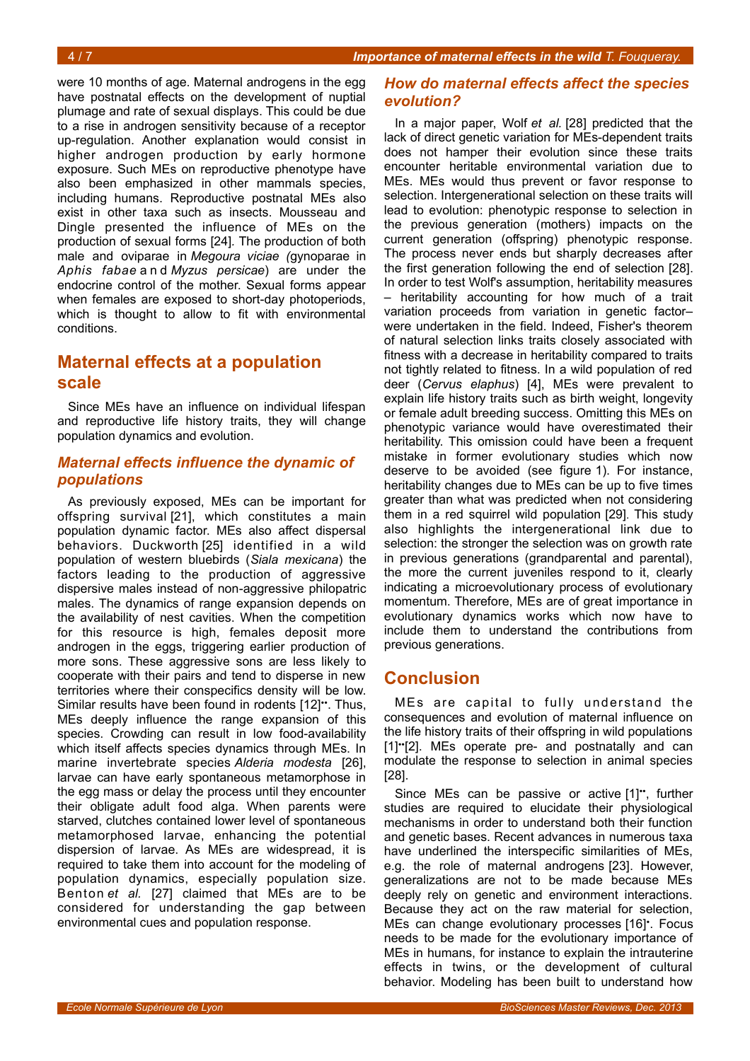were 10 months of age. Maternal androgens in the egg have postnatal effects on the development of nuptial plumage and rate of sexual displays. This could be due to a rise in androgen sensitivity because of a receptor up-regulation. Another explanation would consist in higher androgen production by early hormone exposure. Such MEs on reproductive phenotype have also been emphasized in other mammals species, including humans. Reproductive postnatal MEs also exist in other taxa such as insects. Mousseau and Dingle presented the influence of MEs on the production of sexual forms [24]*.* The production of both male and oviparae in *Megoura viciae (*gynoparae in *Aphis fabae* a n d *Myzus persicae*) are under the endocrine control of the mother. Sexual forms appear when females are exposed to short-day photoperiods, which is thought to allow to fit with environmental conditions.

# **Maternal effects at a population scale**

Since MEs have an influence on individual lifespan and reproductive life history traits, they will change population dynamics and evolution.

#### *Maternal effects influence the dynamic of populations*

As previously exposed, MEs can be important for offspring survival [21], which constitutes a main population dynamic factor. MEs also affect dispersal behaviors. Duckworth [25] identified in a wild population of western bluebirds (*Siala mexicana*) the factors leading to the production of aggressive dispersive males instead of non-aggressive philopatric males. The dynamics of range expansion depends on the availability of nest cavities. When the competition for this resource is high, females deposit more androgen in the eggs, triggering earlier production of more sons. These aggressive sons are less likely to cooperate with their pairs and tend to disperse in new territories where their conspecifics density will be low. Similar results have been found in rodents [12]<sup>\*\*</sup>. Thus, MEs deeply influence the range expansion of this species. Crowding can result in low food-availability which itself affects species dynamics through MEs. In marine invertebrate species *Alderia modesta* [26], larvae can have early spontaneous metamorphose in the egg mass or delay the process until they encounter their obligate adult food alga. When parents were starved, clutches contained lower level of spontaneous metamorphosed larvae, enhancing the potential dispersion of larvae. As MEs are widespread, it is required to take them into account for the modeling of population dynamics, especially population size. Benton *et al.* [27] claimed that MEs are to be considered for understanding the gap between environmental cues and population response.

#### *How do maternal effects affect the species evolution?*

In a major paper, Wolf *et al.* [28] predicted that the lack of direct genetic variation for MEs-dependent traits does not hamper their evolution since these traits encounter heritable environmental variation due to MEs. MEs would thus prevent or favor response to selection. Intergenerational selection on these traits will lead to evolution: phenotypic response to selection in the previous generation (mothers) impacts on the current generation (offspring) phenotypic response. The process never ends but sharply decreases after the first generation following the end of selection [28]. In order to test Wolf's assumption, heritability measures – heritability accounting for how much of a trait variation proceeds from variation in genetic factor– were undertaken in the field. Indeed, Fisher's theorem of natural selection links traits closely associated with fitness with a decrease in heritability compared to traits not tightly related to fitness. In a wild population of red deer (*Cervus elaphus*) [4], MEs were prevalent to explain life history traits such as birth weight, longevity or female adult breeding success. Omitting this MEs on phenotypic variance would have overestimated their heritability. This omission could have been a frequent mistake in former evolutionary studies which now deserve to be avoided (see figure [1\)](#page-4-0). For instance, heritability changes due to MEs can be up to five times greater than what was predicted when not considering them in a red squirrel wild population [29]. This study also highlights the intergenerational link due to selection: the stronger the selection was on growth rate in previous generations (grandparental and parental), the more the current juveniles respond to it, clearly indicating a microevolutionary process of evolutionary momentum. Therefore, MEs are of great importance in evolutionary dynamics works which now have to include them to understand the contributions from previous generations.

### **Conclusion**

MEs are capital to fully understand the consequences and evolution of maternal influence on the life history traits of their offspring in wild populations [1]••[2]. MEs operate pre- and postnatally and can modulate the response to selection in animal species [28].

Since MEs can be passive or active [1]", further studies are required to elucidate their physiological mechanisms in order to understand both their function and genetic bases. Recent advances in numerous taxa have underlined the interspecific similarities of MEs, e.g. the role of maternal androgens [23]. However, generalizations are not to be made because MEs deeply rely on genetic and environment interactions. Because they act on the raw material for selection, MEs can change evolutionary processes [16]• . Focus needs to be made for the evolutionary importance of MEs in humans, for instance to explain the intrauterine effects in twins, or the development of cultural behavior. Modeling has been built to understand how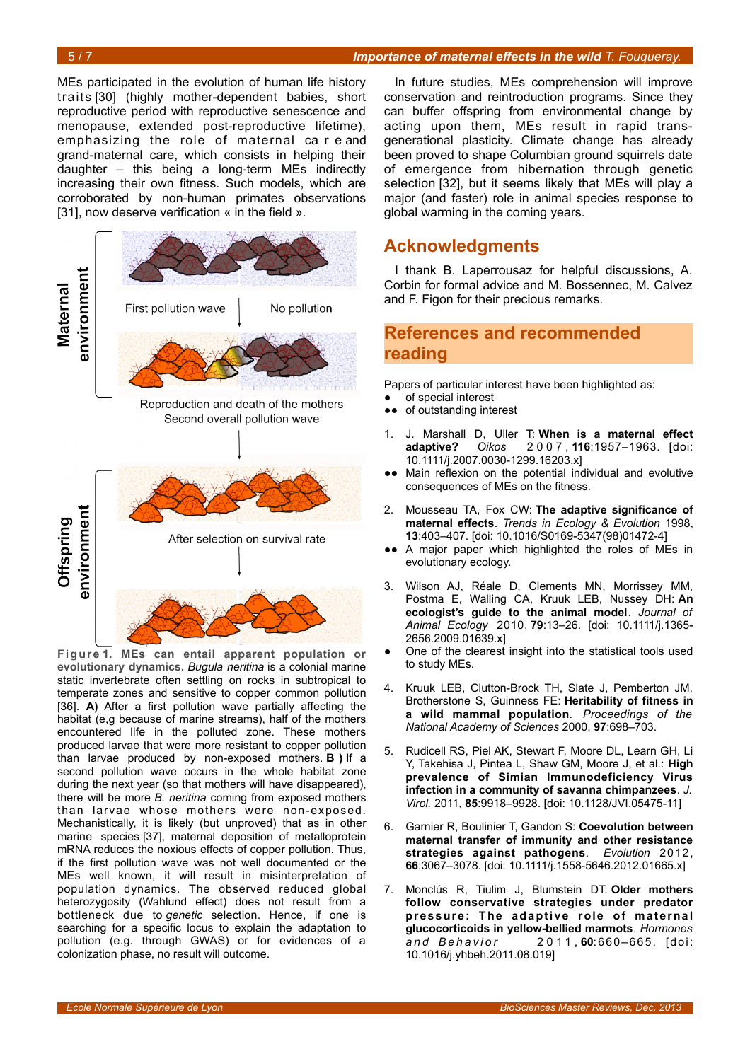#### 5 / 7 *Importance of maternal effects in the wild T. Fouqueray.*

MEs participated in the evolution of human life history traits [30] (highly mother-dependent babies, short reproductive period with reproductive senescence and menopause, extended post-reproductive lifetime), emphasizing the role of maternal ca r e and grand-maternal care, which consists in helping their daughter – this being a long-term MEs indirectly increasing their own fitness. Such models, which are corroborated by non-human primates observations [31], now deserve verification « in the field ».



<span id="page-4-0"></span>**Figure 1. MEs can entail apparent population or evolutionary dynamics.** *Bugula neritina* is a colonial marine static invertebrate often settling on rocks in subtropical to temperate zones and sensitive to copper common pollution [36]. **A)** After a first pollution wave partially affecting the habitat (e,g because of marine streams), half of the mothers encountered life in the polluted zone. These mothers produced larvae that were more resistant to copper pollution than larvae produced by non-exposed mothers. **B )** If a second pollution wave occurs in the whole habitat zone during the next year (so that mothers will have disappeared), there will be more *B. neritina* coming from exposed mothers than larvae whose mothers were non-exposed. Mechanistically, it is likely (but unproved) that as in other marine species [37], maternal deposition of metalloprotein mRNA reduces the noxious effects of copper pollution. Thus, if the first pollution wave was not well documented or the MEs well known, it will result in misinterpretation of population dynamics. The observed reduced global heterozygosity (Wahlund effect) does not result from a bottleneck due to *genetic* selection. Hence, if one is searching for a specific locus to explain the adaptation to pollution (e.g. through GWAS) or for evidences of a colonization phase, no result will outcome.

In future studies, MEs comprehension will improve conservation and reintroduction programs. Since they can buffer offspring from environmental change by acting upon them, MEs result in rapid transgenerational plasticity. Climate change has already been proved to shape Columbian ground squirrels date of emergence from hibernation through genetic selection [32], but it seems likely that MEs will play a major (and faster) role in animal species response to global warming in the coming years.

### **Acknowledgments**

I thank B. Laperrousaz for helpful discussions, A. Corbin for formal advice and M. Bossennec, M. Calvez and F. Figon for their precious remarks.

### **References and recommended reading**

Papers of particular interest have been highlighted as:

- of special interest
- ●● of outstanding interest
- 1. J. Marshall D, Uller T: **When is a maternal effect adaptive?** *Oikos* 2 0 0 7 , **116**:1957–1963. [doi: 10.1111/j.2007.0030-1299.16203.x]
- ●● Main reflexion on the potential individual and evolutive consequences of MEs on the fitness.
- 2. Mousseau TA, Fox CW: **The adaptive significance of maternal effects**. *Trends in Ecology & Evolution* 1998, **13**:403–407. [doi: 10.1016/S0169-5347(98)01472-4]
- ●● A major paper which highlighted the roles of MEs in evolutionary ecology.
- 3. Wilson AJ, Réale D, Clements MN, Morrissey MM, Postma E, Walling CA, Kruuk LEB, Nussey DH: **An ecologist's guide to the animal model**. *Journal of Animal Ecology* 2010, **79**:13–26. [doi: 10.1111/j.1365- 2656.2009.01639.x]
- One of the clearest insight into the statistical tools used to study MEs.
- 4. Kruuk LEB, Clutton-Brock TH, Slate J, Pemberton JM, Brotherstone S, Guinness FE: **Heritability of fitness in a wild mammal population**. *Proceedings of the National Academy of Sciences* 2000, **97**:698–703.
- 5. Rudicell RS, Piel AK, Stewart F, Moore DL, Learn GH, Li Y, Takehisa J, Pintea L, Shaw GM, Moore J, et al.: **High prevalence of Simian Immunodeficiency Virus infection in a community of savanna chimpanzees**. *J. Virol.* 2011, **85**:9918–9928. [doi: 10.1128/JVI.05475-11]
- 6. Garnier R, Boulinier T, Gandon S: **Coevolution between maternal transfer of immunity and other resistance strategies against pathogens**. *Evolution* 2012, **66**:3067–3078. [doi: 10.1111/j.1558-5646.2012.01665.x]
- 7. Monclús R, Tiulim J, Blumstein DT: **Older mothers follow conservative strategies under predator** pressure: The adaptive role of maternal **glucocorticoids in yellow-bellied marmots**. *Hormones a n d B e h a v i o r* 2 0 1 1 , **60**:660– 665. [doi: 10.1016/j.yhbeh.2011.08.019]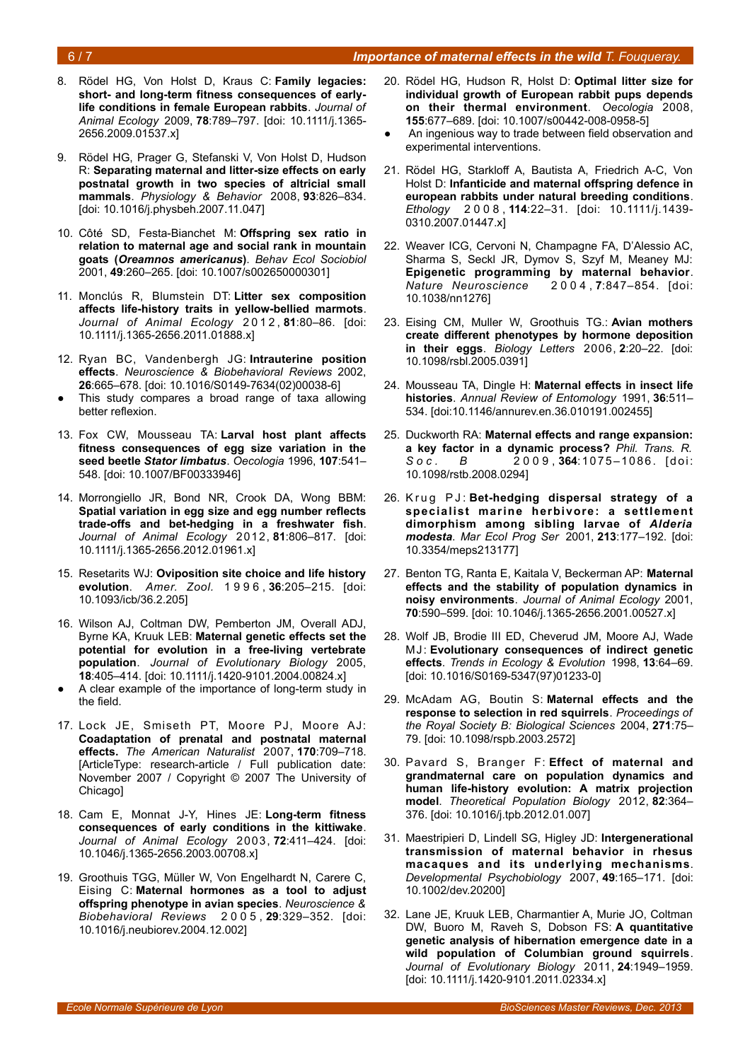#### 6 / 7 *Importance of maternal effects in the wild T. Fouqueray.*

- 8. Rödel HG, Von Holst D, Kraus C: **Family legacies: short- and long-term fitness consequences of earlylife conditions in female European rabbits**. *Journal of Animal Ecology* 2009, **78**:789–797. [doi: 10.1111/j.1365- 2656.2009.01537.x]
- 9. Rödel HG, Prager G, Stefanski V, Von Holst D, Hudson R: **Separating maternal and litter-size effects on early postnatal growth in two species of altricial small mammals**. *Physiology & Behavior* 2008, **93**:826–834. [doi: 10.1016/j.physbeh.2007.11.047]
- 10. Côté SD, Festa-Bianchet M: **Offspring sex ratio in relation to maternal age and social rank in mountain goats (***Oreamnos americanus***)**. *Behav Ecol Sociobiol* 2001, **49**:260–265. [doi: 10.1007/s002650000301]
- 11. Monclús R, Blumstein DT: **Litter sex composition affects life-history traits in yellow-bellied marmots**. *Journal of Animal Ecology* 2 0 1 2 , **81**:80–86. [doi: 10.1111/j.1365-2656.2011.01888.x]
- 12. Ryan BC, Vandenbergh JG: **Intrauterine position effects**. *Neuroscience & Biobehavioral Reviews* 2002, **26**:665–678. [doi: 10.1016/S0149-7634(02)00038-6]
- This study compares a broad range of taxa allowing better reflexion.
- 13. Fox CW, Mousseau TA: **Larval host plant affects fitness consequences of egg size variation in the seed beetle** *Stator limbatus*. *Oecologia* 1996, **107**:541– 548. [doi: 10.1007/BF00333946]
- 14. Morrongiello JR, Bond NR, Crook DA, Wong BBM: **Spatial variation in egg size and egg number reflects trade-offs and bet-hedging in a freshwater fish**. *Journal of Animal Ecology* 2012, **81**:806–817. [doi: 10.1111/j.1365-2656.2012.01961.x]
- 15. Resetarits WJ: **Oviposition site choice and life history evolution**. *Amer. Zool.* 1 9 9 6 , **36**:205–215. [doi: 10.1093/icb/36.2.205]
- 16. Wilson AJ, Coltman DW, Pemberton JM, Overall ADJ, Byrne KA, Kruuk LEB: **Maternal genetic effects set the potential for evolution in a free-living vertebrate population**. *Journal of Evolutionary Biology* 2005, **18**:405–414. [doi: 10.1111/j.1420-9101.2004.00824.x]
- A clear example of the importance of long-term study in the field.
- 17. Lock JE, Smiseth PT, Moore PJ, Moore AJ: **Coadaptation of prenatal and postnatal maternal effects.** *The American Naturalist* 2007, **170**:709–718. [ArticleType: research-article / Full publication date: November 2007 / Copyright © 2007 The University of Chicago]
- 18. Cam E, Monnat J-Y, Hines JE: **Long-term fitness consequences of early conditions in the kittiwake**. *Journal of Animal Ecology* 2003, **72**:411–424. [doi: 10.1046/j.1365-2656.2003.00708.x]
- 19. Groothuis TGG, Müller W, Von Engelhardt N, Carere C, Eising C: **Maternal hormones as a tool to adjust offspring phenotype in avian species**. *Neuroscience & Biobehavioral Reviews* 2 0 0 5 , **29**:329–352. [doi: 10.1016/j.neubiorev.2004.12.002]
- 20. Rödel HG, Hudson R, Holst D: **Optimal litter size for individual growth of European rabbit pups depends on their thermal environment**. *Oecologia* 2008, **155**:677–689. [doi: 10.1007/s00442-008-0958-5]
- An ingenious way to trade between field observation and experimental interventions.
- 21. Rödel HG, Starkloff A, Bautista A, Friedrich A-C, Von Holst D: **Infanticide and maternal offspring defence in european rabbits under natural breeding conditions**. *Ethology* 2 0 0 8 , **114**:22–31. [doi: 10.1111/j.1439- 0310.2007.01447.x]
- 22. Weaver ICG, Cervoni N, Champagne FA, D'Alessio AC, Sharma S, Seckl JR, Dymov S, Szyf M, Meaney MJ: **Epigenetic programming by maternal behavior**. *Nature Neuroscience* 2 0 0 4 , **7**:847–854. [doi: 10.1038/nn1276]
- 23. Eising CM, Muller W, Groothuis TG.: **Avian mothers create different phenotypes by hormone deposition in their eggs**. *Biology Letters* 2006, **2**:20–22. [doi: 10.1098/rsbl.2005.0391]
- 24. Mousseau TA, Dingle H: **Maternal effects in insect life histories**. *Annual Review of Entomology* 1991, **36**:511– 534. [doi:10.1146/annurev.en.36.010191.002455]
- 25. Duckworth RA: **Maternal effects and range expansion: a key factor in a dynamic process?** *Phil. Trans. R. S o c . B* 2 0 0 9 , **364**:10 75 –10 86 . [d oi: 10.1098/rstb.2008.0294]
- 26. Krug PJ: Bet-hedging dispersal strategy of a **specialist marine herbivore: a settlement dimorphism among sibling larvae of** *Alderia modesta*. *Mar Ecol Prog Ser* 2001, **213**:177–192. [doi: 10.3354/meps213177]
- 27. Benton TG, Ranta E, Kaitala V, Beckerman AP: **Maternal effects and the stability of population dynamics in noisy environments**. *Journal of Animal Ecology* 2001, **70**:590–599. [doi: 10.1046/j.1365-2656.2001.00527.x]
- 28. Wolf JB, Brodie III ED, Cheverud JM, Moore AJ, Wade MJ: **Evolutionary consequences of indirect genetic effects**. *Trends in Ecology & Evolution* 1998, **13**:64–69. [doi: 10.1016/S0169-5347(97)01233-0]
- 29. McAdam AG, Boutin S: **Maternal effects and the response to selection in red squirrels**. *Proceedings of the Royal Society B: Biological Sciences* 2004, **271**:75– 79. [doi: 10.1098/rspb.2003.2572]
- 30. Pavard S, Branger F: **Effect of maternal and grandmaternal care on population dynamics and human life-history evolution: A matrix projection model**. *Theoretical Population Biology* 2012, **82**:364– 376. [doi: 10.1016/j.tpb.2012.01.007]
- 31. Maestripieri D, Lindell SG, Higley JD: **Intergenerational transmission of maternal behavior in rhesus macaques and its underlying mechanisms**. *Developmental Psychobiology* 2007, **49**:165–171. [doi: 10.1002/dev.20200]
- 32. Lane JE, Kruuk LEB, Charmantier A, Murie JO, Coltman DW, Buoro M, Raveh S, Dobson FS: **A quantitative genetic analysis of hibernation emergence date in a wild population of Columbian ground squirrels**. *Journal of Evolutionary Biology* 2011, **24**:1949–1959. [doi: 10.1111/j.1420-9101.2011.02334.x]